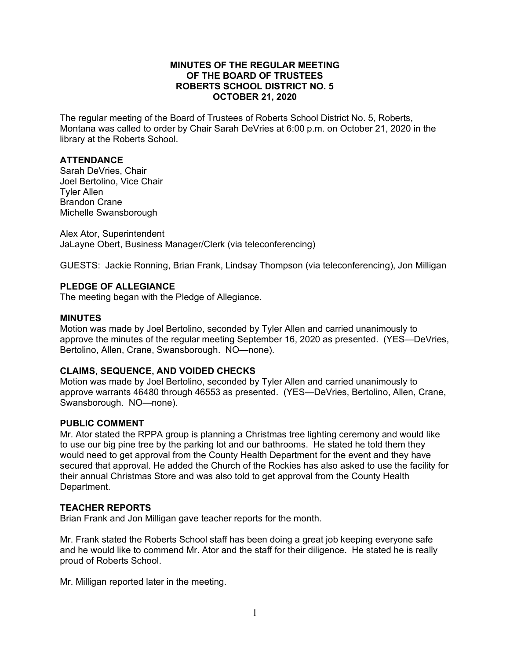### **MINUTES OF THE REGULAR MEETING OF THE BOARD OF TRUSTEES ROBERTS SCHOOL DISTRICT NO. 5 OCTOBER 21, 2020**

The regular meeting of the Board of Trustees of Roberts School District No. 5, Roberts, Montana was called to order by Chair Sarah DeVries at 6:00 p.m. on October 21, 2020 in the library at the Roberts School.

# **ATTENDANCE**

Sarah DeVries, Chair Joel Bertolino, Vice Chair Tyler Allen Brandon Crane Michelle Swansborough

Alex Ator, Superintendent JaLayne Obert, Business Manager/Clerk (via teleconferencing)

GUESTS: Jackie Ronning, Brian Frank, Lindsay Thompson (via teleconferencing), Jon Milligan

## **PLEDGE OF ALLEGIANCE**

The meeting began with the Pledge of Allegiance.

### **MINUTES**

Motion was made by Joel Bertolino, seconded by Tyler Allen and carried unanimously to approve the minutes of the regular meeting September 16, 2020 as presented. (YES—DeVries, Bertolino, Allen, Crane, Swansborough. NO—none).

### **CLAIMS, SEQUENCE, AND VOIDED CHECKS**

Motion was made by Joel Bertolino, seconded by Tyler Allen and carried unanimously to approve warrants 46480 through 46553 as presented. (YES—DeVries, Bertolino, Allen, Crane, Swansborough. NO—none).

### **PUBLIC COMMENT**

Mr. Ator stated the RPPA group is planning a Christmas tree lighting ceremony and would like to use our big pine tree by the parking lot and our bathrooms. He stated he told them they would need to get approval from the County Health Department for the event and they have secured that approval. He added the Church of the Rockies has also asked to use the facility for their annual Christmas Store and was also told to get approval from the County Health Department.

### **TEACHER REPORTS**

Brian Frank and Jon Milligan gave teacher reports for the month.

Mr. Frank stated the Roberts School staff has been doing a great job keeping everyone safe and he would like to commend Mr. Ator and the staff for their diligence. He stated he is really proud of Roberts School.

Mr. Milligan reported later in the meeting.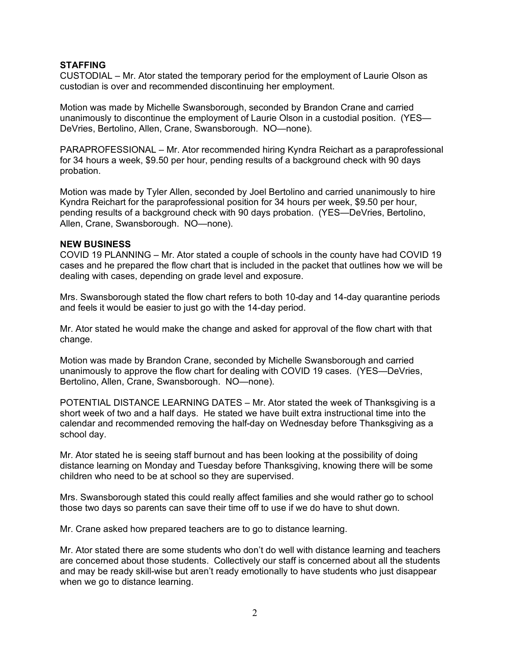# **STAFFING**

CUSTODIAL – Mr. Ator stated the temporary period for the employment of Laurie Olson as custodian is over and recommended discontinuing her employment.

Motion was made by Michelle Swansborough, seconded by Brandon Crane and carried unanimously to discontinue the employment of Laurie Olson in a custodial position. (YES— DeVries, Bertolino, Allen, Crane, Swansborough. NO—none).

PARAPROFESSIONAL – Mr. Ator recommended hiring Kyndra Reichart as a paraprofessional for 34 hours a week, \$9.50 per hour, pending results of a background check with 90 days probation.

Motion was made by Tyler Allen, seconded by Joel Bertolino and carried unanimously to hire Kyndra Reichart for the paraprofessional position for 34 hours per week, \$9.50 per hour, pending results of a background check with 90 days probation. (YES—DeVries, Bertolino, Allen, Crane, Swansborough. NO—none).

### **NEW BUSINESS**

COVID 19 PLANNING – Mr. Ator stated a couple of schools in the county have had COVID 19 cases and he prepared the flow chart that is included in the packet that outlines how we will be dealing with cases, depending on grade level and exposure.

Mrs. Swansborough stated the flow chart refers to both 10-day and 14-day quarantine periods and feels it would be easier to just go with the 14-day period.

Mr. Ator stated he would make the change and asked for approval of the flow chart with that change.

Motion was made by Brandon Crane, seconded by Michelle Swansborough and carried unanimously to approve the flow chart for dealing with COVID 19 cases. (YES—DeVries, Bertolino, Allen, Crane, Swansborough. NO—none).

POTENTIAL DISTANCE LEARNING DATES – Mr. Ator stated the week of Thanksgiving is a short week of two and a half days. He stated we have built extra instructional time into the calendar and recommended removing the half-day on Wednesday before Thanksgiving as a school day.

Mr. Ator stated he is seeing staff burnout and has been looking at the possibility of doing distance learning on Monday and Tuesday before Thanksgiving, knowing there will be some children who need to be at school so they are supervised.

Mrs. Swansborough stated this could really affect families and she would rather go to school those two days so parents can save their time off to use if we do have to shut down.

Mr. Crane asked how prepared teachers are to go to distance learning.

Mr. Ator stated there are some students who don't do well with distance learning and teachers are concerned about those students. Collectively our staff is concerned about all the students and may be ready skill-wise but aren't ready emotionally to have students who just disappear when we go to distance learning.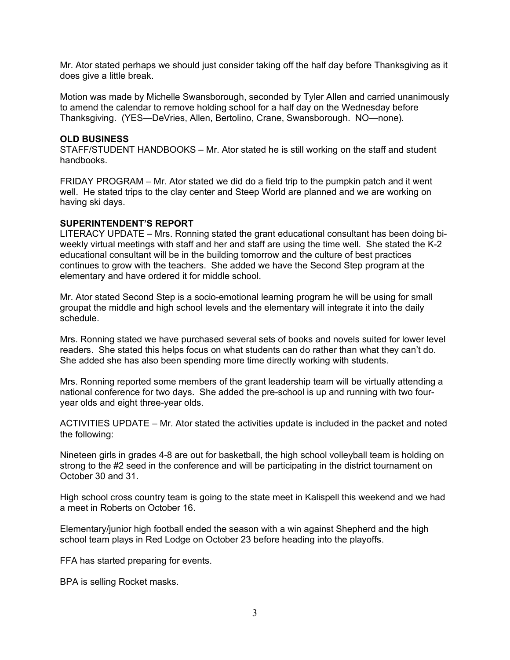Mr. Ator stated perhaps we should just consider taking off the half day before Thanksgiving as it does give a little break.

Motion was made by Michelle Swansborough, seconded by Tyler Allen and carried unanimously to amend the calendar to remove holding school for a half day on the Wednesday before Thanksgiving. (YES—DeVries, Allen, Bertolino, Crane, Swansborough. NO—none).

#### **OLD BUSINESS**

STAFF/STUDENT HANDBOOKS – Mr. Ator stated he is still working on the staff and student handbooks.

FRIDAY PROGRAM – Mr. Ator stated we did do a field trip to the pumpkin patch and it went well. He stated trips to the clay center and Steep World are planned and we are working on having ski days.

#### **SUPERINTENDENT'S REPORT**

LITERACY UPDATE – Mrs. Ronning stated the grant educational consultant has been doing biweekly virtual meetings with staff and her and staff are using the time well. She stated the K-2 educational consultant will be in the building tomorrow and the culture of best practices continues to grow with the teachers. She added we have the Second Step program at the elementary and have ordered it for middle school.

Mr. Ator stated Second Step is a socio-emotional learning program he will be using for small groupat the middle and high school levels and the elementary will integrate it into the daily schedule.

Mrs. Ronning stated we have purchased several sets of books and novels suited for lower level readers. She stated this helps focus on what students can do rather than what they can't do. She added she has also been spending more time directly working with students.

Mrs. Ronning reported some members of the grant leadership team will be virtually attending a national conference for two days. She added the pre-school is up and running with two fouryear olds and eight three-year olds.

ACTIVITIES UPDATE – Mr. Ator stated the activities update is included in the packet and noted the following:

Nineteen girls in grades 4-8 are out for basketball, the high school volleyball team is holding on strong to the #2 seed in the conference and will be participating in the district tournament on October 30 and 31.

High school cross country team is going to the state meet in Kalispell this weekend and we had a meet in Roberts on October 16.

Elementary/junior high football ended the season with a win against Shepherd and the high school team plays in Red Lodge on October 23 before heading into the playoffs.

FFA has started preparing for events.

BPA is selling Rocket masks.